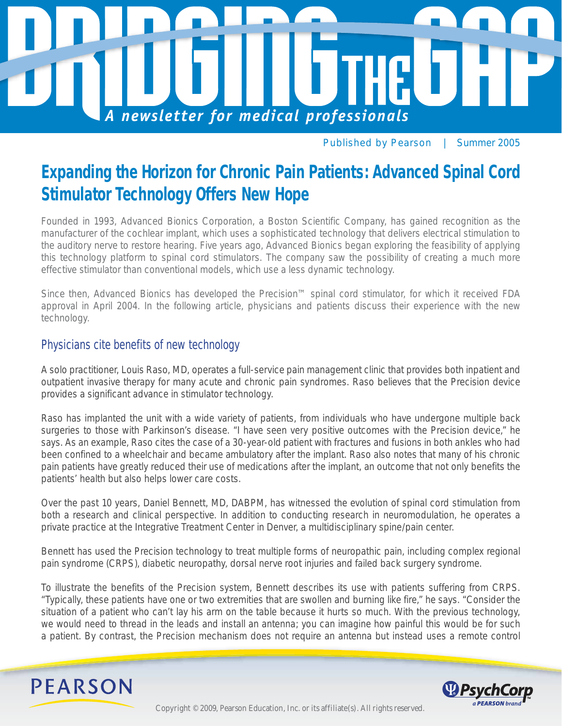

Published by Pearson *| Summer 2005*

# **Expanding the Horizon for Chronic Pain Patients: Advanced Spinal Cord Stimulator Technology Offers New Hope**

Founded in 1993, Advanced Bionics Corporation, a Boston Scientific Company, has gained recognition as the manufacturer of the cochlear implant, which uses a sophisticated technology that delivers electrical stimulation to the auditory nerve to restore hearing. Five years ago, Advanced Bionics began exploring the feasibility of applying this technology platform to spinal cord stimulators. The company saw the possibility of creating a much more effective stimulator than conventional models, which use a less dynamic technology.

Since then, Advanced Bionics has developed the Precision™ spinal cord stimulator, for which it received FDA approval in April 2004. In the following article, physicians and patients discuss their experience with the new technology.

## Physicians cite benefits of new technology

A solo practitioner, Louis Raso, MD, operates a full-service pain management clinic that provides both inpatient and outpatient invasive therapy for many acute and chronic pain syndromes. Raso believes that the Precision device provides a significant advance in stimulator technology.

Raso has implanted the unit with a wide variety of patients, from individuals who have undergone multiple back surgeries to those with Parkinson's disease. "I have seen very positive outcomes with the Precision device," he says. As an example, Raso cites the case of a 30-year-old patient with fractures and fusions in both ankles who had been confined to a wheelchair and became ambulatory after the implant. Raso also notes that many of his chronic pain patients have greatly reduced their use of medications after the implant, an outcome that not only benefits the patients' health but also helps lower care costs.

Over the past 10 years, Daniel Bennett, MD, DABPM, has witnessed the evolution of spinal cord stimulation from both a research and clinical perspective. In addition to conducting research in neuromodulation, he operates a private practice at the Integrative Treatment Center in Denver, a multidisciplinary spine/pain center.

Bennett has used the Precision technology to treat multiple forms of neuropathic pain, including complex regional pain syndrome (CRPS), diabetic neuropathy, dorsal nerve root injuries and failed back surgery syndrome.

To illustrate the benefits of the Precision system, Bennett describes its use with patients suffering from CRPS. "Typically, these patients have one or two extremities that are swollen and burning like fire," he says. "Consider the situation of a patient who can't lay his arm on the table because it hurts so much. With the previous technology, we would need to thread in the leads and install an antenna; you can imagine how painful this would be for such a patient. By contrast, the Precision mechanism does not require an antenna but instead uses a remote control



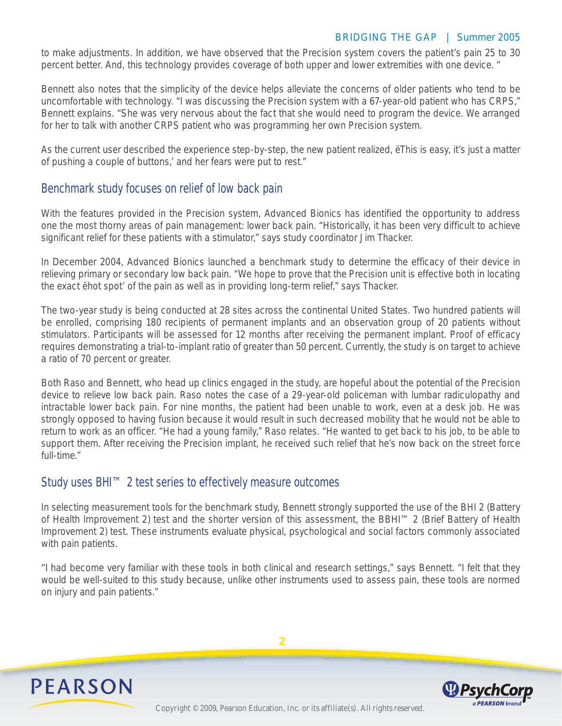to make adjustments. In addition, we have observed that the Precision system covers the patient's pain 25 to 30 percent better. And, this technology provides coverage of both upper and lower extremities with one device. "

Bennett also notes that the simplicity of the device helps alleviate the concerns of older patients who tend to be uncomfortable with technology. "I was discussing the Precision system with a 67-year-old patient who has CRPS," Bennett explains. "She was very nervous about the fact that she would need to program the device. We arranged for her to talk with another CRPS patient who was programming her own Precision system.

As the current user described the experience step-by-step, the new patient realized, ëThis is easy, it's just a matter of pushing a couple of buttons,' and her fears were put to rest."

## Benchmark study focuses on relief of low back pain

With the features provided in the Precision system, Advanced Bionics has identified the opportunity to address one the most thorny areas of pain management: lower back pain. "Historically, it has been very difficult to achieve significant relief for these patients with a stimulator," says study coordinator Jim Thacker.

In December 2004, Advanced Bionics launched a benchmark study to determine the efficacy of their device in relieving primary or secondary low back pain. "We hope to prove that the Precision unit is effective both in locating the exact ëhot spot' of the pain as well as in providing long-term relief," says Thacker.

The two-year study is being conducted at 28 sites across the continental United States. Two hundred patients will be enrolled, comprising 180 recipients of permanent implants and an observation group of 20 patients without stimulators. Participants will be assessed for 12 months after receiving the permanent implant. Proof of efficacy requires demonstrating a trial-to-implant ratio of greater than 50 percent. Currently, the study is on target to achieve a ratio of 70 percent or greater.

Both Raso and Bennett, who head up clinics engaged in the study, are hopeful about the potential of the Precision device to relieve low back pain. Raso notes the case of a 29-year-old policeman with lumbar radiculopathy and intractable lower back pain. For nine months, the patient had been unable to work, even at a desk job. He was strongly opposed to having fusion because it would result in such decreased mobility that he would not be able to return to work as an officer. "He had a young family," Raso relates. "He wanted to get back to his job, to be able to support them. After receiving the Precision implant, he received such relief that he's now back on the street force full-time."

## Study uses BHI™ 2 test series to effectively measure outcomes

In selecting measurement tools for the benchmark study, Bennett strongly supported the use of the BHI 2 (Battery of Health Improvement 2) test and the shorter version of this assessment, the BBHI™ 2 (Brief Battery of Health Improvement 2) test. These instruments evaluate physical, psychological and social factors commonly associated with pain patients.

"I had become very familiar with these tools in both clinical and research settings," says Bennett. "I felt that they would be well-suited to this study because, unlike other instruments used to assess pain, these tools are normed on injury and pain patients."

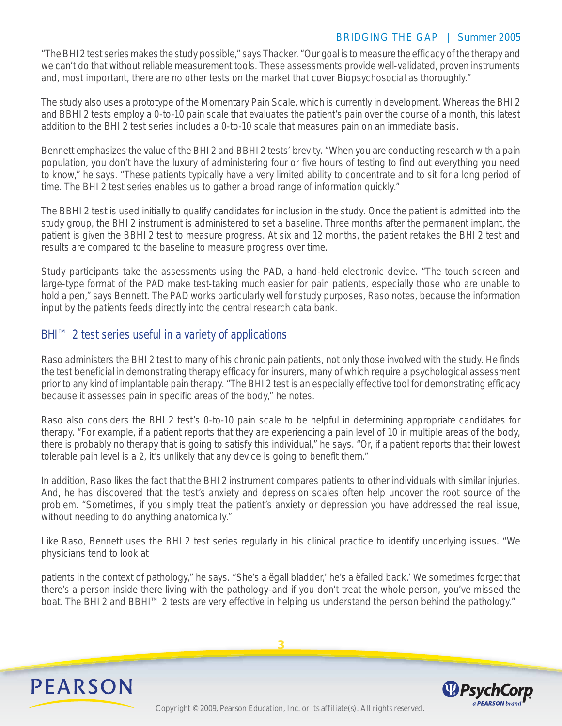"The BHI 2 test series makes the study possible," says Thacker. "Our goal is to measure the efficacy of the therapy and we can't do that without reliable measurement tools. These assessments provide well-validated, proven instruments and, most important, there are no other tests on the market that cover Biopsychosocial as thoroughly."

The study also uses a prototype of the Momentary Pain Scale, which is currently in development. Whereas the BHI 2 and BBHI 2 tests employ a 0-to-10 pain scale that evaluates the patient's pain over the course of a month, this latest addition to the BHI 2 test series includes a 0-to-10 scale that measures pain on an immediate basis.

Bennett emphasizes the value of the BHI 2 and BBHI 2 tests' brevity. "When you are conducting research with a pain population, you don't have the luxury of administering four or five hours of testing to find out everything you need to know," he says. "These patients typically have a very limited ability to concentrate and to sit for a long period of time. The BHI 2 test series enables us to gather a broad range of information quickly."

The BBHI 2 test is used initially to qualify candidates for inclusion in the study. Once the patient is admitted into the study group, the BHI 2 instrument is administered to set a baseline. Three months after the permanent implant, the patient is given the BBHI 2 test to measure progress. At six and 12 months, the patient retakes the BHI 2 test and results are compared to the baseline to measure progress over time.

Study participants take the assessments using the PAD, a hand-held electronic device. "The touch screen and large-type format of the PAD make test-taking much easier for pain patients, especially those who are unable to hold a pen," says Bennett. The PAD works particularly well for study purposes, Raso notes, because the information input by the patients feeds directly into the central research data bank.

## BHI™ 2 test series useful in a variety of applications

Raso administers the BHI 2 test to many of his chronic pain patients, not only those involved with the study. He finds the test beneficial in demonstrating therapy efficacy for insurers, many of which require a psychological assessment prior to any kind of implantable pain therapy. "The BHI 2 test is an especially effective tool for demonstrating efficacy because it assesses pain in specific areas of the body," he notes.

Raso also considers the BHI 2 test's 0-to-10 pain scale to be helpful in determining appropriate candidates for therapy. "For example, if a patient reports that they are experiencing a pain level of 10 in multiple areas of the body, there is probably no therapy that is going to satisfy this individual," he says. "Or, if a patient reports that their lowest tolerable pain level is a 2, it's unlikely that any device is going to benefit them."

In addition, Raso likes the fact that the BHI 2 instrument compares patients to other individuals with similar injuries. And, he has discovered that the test's anxiety and depression scales often help uncover the root source of the problem. "Sometimes, if you simply treat the patient's anxiety or depression you have addressed the real issue, without needing to do anything anatomically."

Like Raso, Bennett uses the BHI 2 test series regularly in his clinical practice to identify underlying issues. "We physicians tend to look at

patients in the context of pathology," he says. "She's a ëgall bladder,' he's a ëfailed back.' We sometimes forget that there's a person inside there living with the pathology-and if you don't treat the whole person, you've missed the boat. The BHI 2 and BBHI™ 2 tests are very effective in helping us understand the person behind the pathology."

**3**





Copyright © 2009, Pearson Education, Inc. or its affiliate(s). All rights reserved.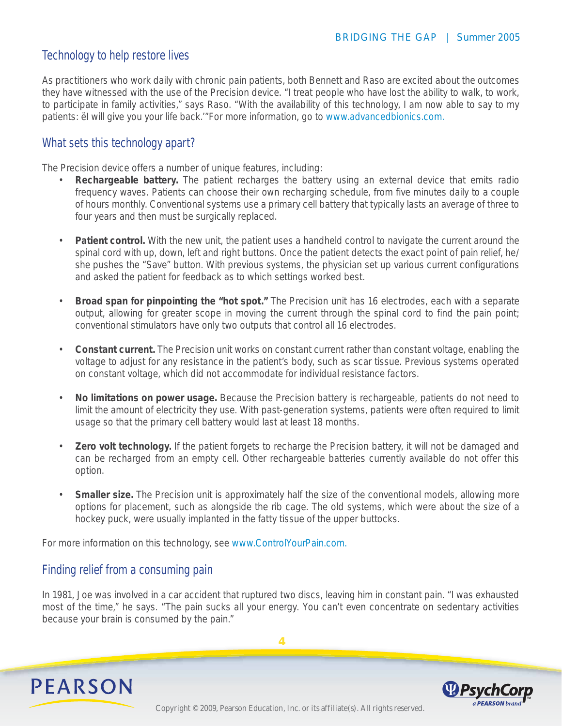## Technology to help restore lives

As practitioners who work daily with chronic pain patients, both Bennett and Raso are excited about the outcomes they have witnessed with the use of the Precision device. "I treat people who have lost the ability to walk, to work, to participate in family activities," says Raso. "With the availability of this technology, I am now able to say to my patients: ëI will give you your life back.'"For more information, go to www.advancedbionics.com.

## What sets this technology apart?

The Precision device offers a number of unique features, including:

- **Rechargeable battery.** The patient recharges the battery using an external device that emits radio frequency waves. Patients can choose their own recharging schedule, from five minutes daily to a couple of hours monthly. Conventional systems use a primary cell battery that typically lasts an average of three to four years and then must be surgically replaced.
- **Patient control.** With the new unit, the patient uses a handheld control to navigate the current around the spinal cord with up, down, left and right buttons. Once the patient detects the exact point of pain relief, he/ she pushes the "Save" button. With previous systems, the physician set up various current configurations and asked the patient for feedback as to which settings worked best.
- **Broad span for pinpointing the "hot spot."** The Precision unit has 16 electrodes, each with a separate output, allowing for greater scope in moving the current through the spinal cord to find the pain point; conventional stimulators have only two outputs that control all 16 electrodes.
- **Constant current.** The Precision unit works on constant current rather than constant voltage, enabling the voltage to adjust for any resistance in the patient's body, such as scar tissue. Previous systems operated on constant voltage, which did not accommodate for individual resistance factors.
- **No limitations on power usage.** Because the Precision battery is rechargeable, patients do not need to limit the amount of electricity they use. With past-generation systems, patients were often required to limit usage so that the primary cell battery would last at least 18 months.
- **Zero volt technology.** If the patient forgets to recharge the Precision battery, it will not be damaged and can be recharged from an empty cell. Other rechargeable batteries currently available do not offer this option.
- **Smaller size.** The Precision unit is approximately half the size of the conventional models, allowing more options for placement, such as alongside the rib cage. The old systems, which were about the size of a hockey puck, were usually implanted in the fatty tissue of the upper buttocks.

For more information on this technology, see www.ControlYourPain.com.

## Finding relief from a consuming pain

In 1981, Joe was involved in a car accident that ruptured two discs, leaving him in constant pain. "I was exhausted most of the time," he says. "The pain sucks all your energy. You can't even concentrate on sedentary activities because your brain is consumed by the pain."



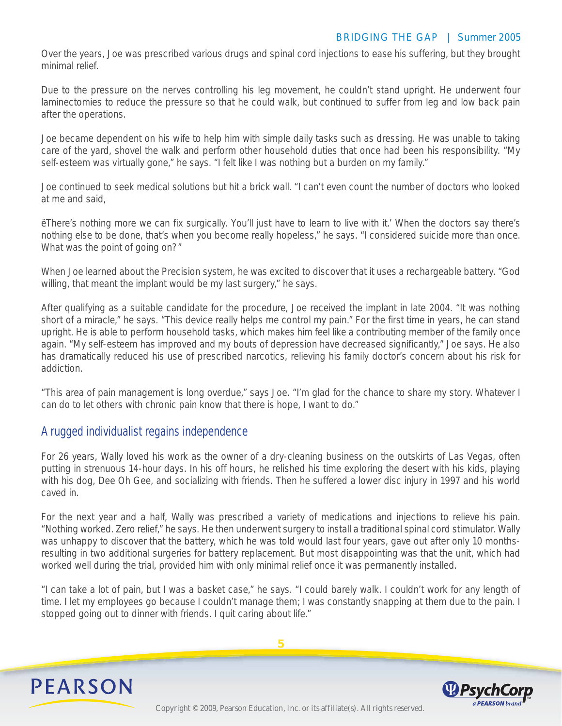Over the years, Joe was prescribed various drugs and spinal cord injections to ease his suffering, but they brought minimal relief.

Due to the pressure on the nerves controlling his leg movement, he couldn't stand upright. He underwent four laminectomies to reduce the pressure so that he could walk, but continued to suffer from leg and low back pain after the operations.

Joe became dependent on his wife to help him with simple daily tasks such as dressing. He was unable to taking care of the yard, shovel the walk and perform other household duties that once had been his responsibility. "My self-esteem was virtually gone," he says. "I felt like I was nothing but a burden on my family."

Joe continued to seek medical solutions but hit a brick wall. "I can't even count the number of doctors who looked at me and said,

ëThere's nothing more we can fix surgically. You'll just have to learn to live with it.' When the doctors say there's nothing else to be done, that's when you become really hopeless," he says. "I considered suicide more than once. What was the point of going on?"

When Joe learned about the Precision system, he was excited to discover that it uses a rechargeable battery. "God willing, that meant the implant would be my last surgery," he says.

After qualifying as a suitable candidate for the procedure, Joe received the implant in late 2004. "It was nothing short of a miracle," he says. "This device really helps me control my pain." For the first time in years, he can stand upright. He is able to perform household tasks, which makes him feel like a contributing member of the family once again. "My self-esteem has improved and my bouts of depression have decreased significantly," Joe says. He also has dramatically reduced his use of prescribed narcotics, relieving his family doctor's concern about his risk for addiction.

"This area of pain management is long overdue," says Joe. "I'm glad for the chance to share my story. Whatever I can do to let others with chronic pain know that there is hope, I want to do."

## A rugged individualist regains independence

For 26 years, Wally loved his work as the owner of a dry-cleaning business on the outskirts of Las Vegas, often putting in strenuous 14-hour days. In his off hours, he relished his time exploring the desert with his kids, playing with his dog, Dee Oh Gee, and socializing with friends. Then he suffered a lower disc injury in 1997 and his world caved in.

For the next year and a half, Wally was prescribed a variety of medications and injections to relieve his pain. "Nothing worked. Zero relief," he says. He then underwent surgery to install a traditional spinal cord stimulator. Wally was unhappy to discover that the battery, which he was told would last four years, gave out after only 10 monthsresulting in two additional surgeries for battery replacement. But most disappointing was that the unit, which had worked well during the trial, provided him with only minimal relief once it was permanently installed.

"I can take a lot of pain, but I was a basket case," he says. "I could barely walk. I couldn't work for any length of time. I let my employees go because I couldn't manage them; I was constantly snapping at them due to the pain. I stopped going out to dinner with friends. I quit caring about life."